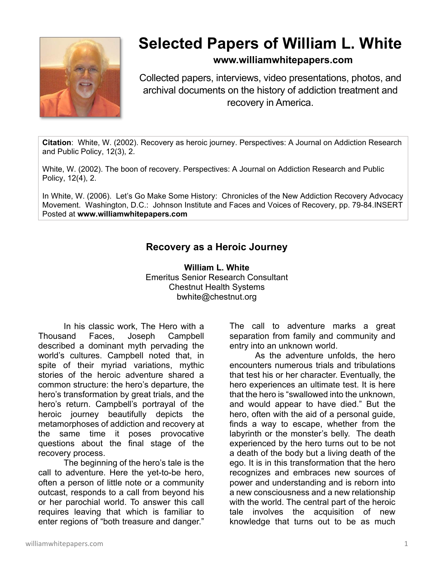

# **Selected Papers of William L. White**

#### **www.williamwhitepapers.com**

Collected papers, interviews, video presentations, photos, and archival documents on the history of addiction treatment and recovery in America.

**Citation**: White, W. (2002). Recovery as heroic journey. Perspectives: A Journal on Addiction Research and Public Policy, 12(3), 2.

White, W. (2002). The boon of recovery. Perspectives: A Journal on Addiction Research and Public Policy, 12(4), 2.

In White, W. (2006). Let's Go Make Some History: Chronicles of the New Addiction Recovery Advocacy Movement. Washington, D.C.: Johnson Institute and Faces and Voices of Recovery, pp. 79-84.INSERT Posted at **www.williamwhitepapers.com** 

### **Recovery as a Heroic Journey**

**William L. White**  Emeritus Senior Research Consultant Chestnut Health Systems bwhite@chestnut.org

In his classic work, The Hero with a Thousand Faces, Joseph Campbell described a dominant myth pervading the world's cultures. Campbell noted that, in spite of their myriad variations, mythic stories of the heroic adventure shared a common structure: the hero's departure, the hero's transformation by great trials, and the hero's return. Campbell's portrayal of the heroic journey beautifully depicts the metamorphoses of addiction and recovery at the same time it poses provocative questions about the final stage of the recovery process.

The beginning of the hero's tale is the call to adventure. Here the yet-to-be hero, often a person of little note or a community outcast, responds to a call from beyond his or her parochial world. To answer this call requires leaving that which is familiar to enter regions of "both treasure and danger."

The call to adventure marks a great separation from family and community and entry into an unknown world.

 As the adventure unfolds, the hero encounters numerous trials and tribulations that test his or her character. Eventually, the hero experiences an ultimate test. It is here that the hero is "swallowed into the unknown, and would appear to have died." But the hero, often with the aid of a personal guide, finds a way to escape, whether from the labyrinth or the monster's belly. The death experienced by the hero turns out to be not a death of the body but a living death of the ego. It is in this transformation that the hero recognizes and embraces new sources of power and understanding and is reborn into a new consciousness and a new relationship with the world. The central part of the heroic tale involves the acquisition of new knowledge that turns out to be as much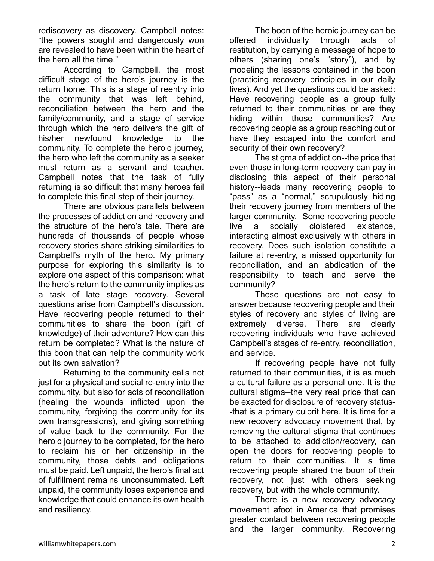rediscovery as discovery. Campbell notes: "the powers sought and dangerously won are revealed to have been within the heart of the hero all the time."

 According to Campbell, the most difficult stage of the hero's journey is the return home. This is a stage of reentry into the community that was left behind, reconciliation between the hero and the family/community, and a stage of service through which the hero delivers the gift of his/her newfound knowledge to the community. To complete the heroic journey, the hero who left the community as a seeker must return as a servant and teacher. Campbell notes that the task of fully returning is so difficult that many heroes fail to complete this final step of their journey.

 There are obvious parallels between the processes of addiction and recovery and the structure of the hero's tale. There are hundreds of thousands of people whose recovery stories share striking similarities to Campbell's myth of the hero. My primary purpose for exploring this similarity is to explore one aspect of this comparison: what the hero's return to the community implies as a task of late stage recovery. Several questions arise from Campbell's discussion. Have recovering people returned to their communities to share the boon (gift of knowledge) of their adventure? How can this return be completed? What is the nature of this boon that can help the community work out its own salvation?

 Returning to the community calls not just for a physical and social re-entry into the community, but also for acts of reconciliation (healing the wounds inflicted upon the community, forgiving the community for its own transgressions), and giving something of value back to the community. For the heroic journey to be completed, for the hero to reclaim his or her citizenship in the community, those debts and obligations must be paid. Left unpaid, the hero's final act of fulfillment remains unconsummated. Left unpaid, the community loses experience and knowledge that could enhance its own health and resiliency.

The boon of the heroic journey can be offered individually through acts of restitution, by carrying a message of hope to others (sharing one's "story"), and by modeling the lessons contained in the boon (practicing recovery principles in our daily lives). And yet the questions could be asked: Have recovering people as a group fully returned to their communities or are they hiding within those communities? Are recovering people as a group reaching out or have they escaped into the comfort and security of their own recovery?

 The stigma of addiction--the price that even those in long-term recovery can pay in disclosing this aspect of their personal history--leads many recovering people to "pass" as a "normal," scrupulously hiding their recovery journey from members of the larger community. Some recovering people live a socially cloistered existence, interacting almost exclusively with others in recovery. Does such isolation constitute a failure at re-entry, a missed opportunity for reconciliation, and an abdication of the responsibility to teach and serve the community?

 These questions are not easy to answer because recovering people and their styles of recovery and styles of living are extremely diverse. There are clearly recovering individuals who have achieved Campbell's stages of re-entry, reconciliation, and service.

 If recovering people have not fully returned to their communities, it is as much a cultural failure as a personal one. It is the cultural stigma--the very real price that can be exacted for disclosure of recovery status- -that is a primary culprit here. It is time for a new recovery advocacy movement that, by removing the cultural stigma that continues to be attached to addiction/recovery, can open the doors for recovering people to return to their communities. It is time recovering people shared the boon of their recovery, not just with others seeking recovery, but with the whole community.

 There is a new recovery advocacy movement afoot in America that promises greater contact between recovering people and the larger community. Recovering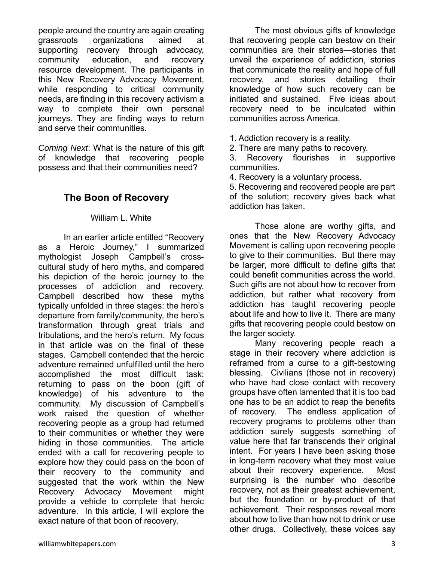people around the country are again creating grassroots organizations aimed at supporting recovery through advocacy, community education, and recovery resource development. The participants in this New Recovery Advocacy Movement, while responding to critical community needs, are finding in this recovery activism a way to complete their own personal journeys. They are finding ways to return and serve their communities.

*Coming Next*: What is the nature of this gift of knowledge that recovering people possess and that their communities need?

## **The Boon of Recovery**

#### William L. White

In an earlier article entitled "Recovery as a Heroic Journey," I summarized mythologist Joseph Campbell's crosscultural study of hero myths, and compared his depiction of the heroic journey to the processes of addiction and recovery. Campbell described how these myths typically unfolded in three stages: the hero's departure from family/community, the hero's transformation through great trials and tribulations, and the hero's return. My focus in that article was on the final of these stages. Campbell contended that the heroic adventure remained unfulfilled until the hero accomplished the most difficult task: returning to pass on the boon (gift of knowledge) of his adventure to the community. My discussion of Campbell's work raised the question of whether recovering people as a group had returned to their communities or whether they were hiding in those communities. The article ended with a call for recovering people to explore how they could pass on the boon of their recovery to the community and suggested that the work within the New Recovery Advocacy Movement might provide a vehicle to complete that heroic adventure. In this article, I will explore the exact nature of that boon of recovery.

The most obvious gifts of knowledge that recovering people can bestow on their communities are their stories—stories that unveil the experience of addiction, stories that communicate the reality and hope of full recovery, and stories detailing their knowledge of how such recovery can be initiated and sustained. Five ideas about recovery need to be inculcated within communities across America.

- 1. Addiction recovery is a reality.
- 2. There are many paths to recovery.

3. Recovery flourishes in supportive communities.

4. Recovery is a voluntary process.

5. Recovering and recovered people are part of the solution; recovery gives back what addiction has taken.

Those alone are worthy gifts, and ones that the New Recovery Advocacy Movement is calling upon recovering people to give to their communities. But there may be larger, more difficult to define gifts that could benefit communities across the world. Such gifts are not about how to recover from addiction, but rather what recovery from addiction has taught recovering people about life and how to live it. There are many gifts that recovering people could bestow on the larger society.

 Many recovering people reach a stage in their recovery where addiction is reframed from a curse to a gift-bestowing blessing. Civilians (those not in recovery) who have had close contact with recovery groups have often lamented that it is too bad one has to be an addict to reap the benefits of recovery. The endless application of recovery programs to problems other than addiction surely suggests something of value here that far transcends their original intent. For years I have been asking those in long-term recovery what they most value about their recovery experience. Most surprising is the number who describe recovery, not as their greatest achievement, but the foundation or by-product of that achievement. Their responses reveal more about how to live than how not to drink or use other drugs. Collectively, these voices say